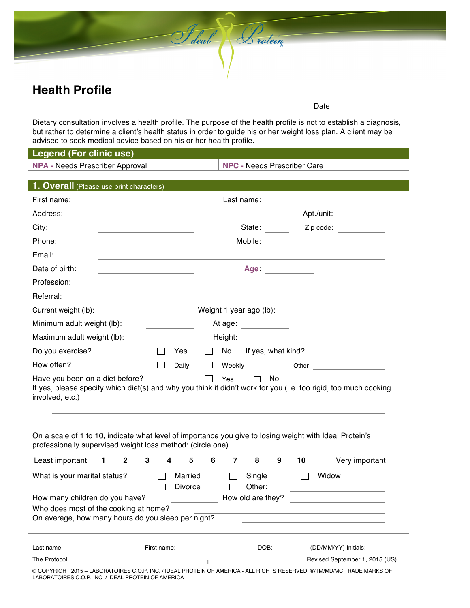## **Health Profile**

Date:

Dietary consultation involves a health profile. The purpose of the health profile is not to establish a diagnosis, but rather to determine a client's health status in order to guide his or her weight loss plan. A client may be advised to seek medical advice based on his or her health profile.

Sideal Listein

#### **Legend (For clinic use)**

**NPA -** Needs Prescriber Approval **NPC -** Needs Prescriber Care

| 1. Overall (Please use print characters)                                                                                                                                                                                             |              |              |                              |                  |                           |                  |                   |                                |     |              |                                                                                                                         |
|--------------------------------------------------------------------------------------------------------------------------------------------------------------------------------------------------------------------------------------|--------------|--------------|------------------------------|------------------|---------------------------|------------------|-------------------|--------------------------------|-----|--------------|-------------------------------------------------------------------------------------------------------------------------|
| First name:                                                                                                                                                                                                                          |              |              |                              |                  |                           |                  |                   |                                |     |              | Last name: <u>____________________________</u>                                                                          |
| Address:                                                                                                                                                                                                                             |              |              |                              |                  |                           |                  |                   |                                |     |              | Apt./unit: ______________                                                                                               |
| City:                                                                                                                                                                                                                                |              |              |                              |                  |                           | State: Zip code: |                   |                                |     |              |                                                                                                                         |
| Phone:                                                                                                                                                                                                                               |              |              |                              |                  |                           |                  |                   |                                |     |              |                                                                                                                         |
| Email:                                                                                                                                                                                                                               |              |              |                              |                  |                           |                  |                   |                                |     |              |                                                                                                                         |
| Date of birth:                                                                                                                                                                                                                       |              |              |                              |                  |                           |                  |                   | Age:                           |     |              |                                                                                                                         |
| Profession:                                                                                                                                                                                                                          |              |              |                              |                  |                           |                  |                   |                                |     |              |                                                                                                                         |
| Referral:                                                                                                                                                                                                                            |              |              |                              |                  |                           |                  |                   |                                |     |              |                                                                                                                         |
| Current weight (lb): <u>contract and contract and contract and contract and contract of the contract of the contract of the contract of the contract of the contract of the contract of the contract of the contract of the cont</u> |              |              |                              |                  |                           |                  |                   |                                |     |              | Weight 1 year ago (lb):                                                                                                 |
| Minimum adult weight (lb):                                                                                                                                                                                                           |              |              |                              |                  |                           |                  |                   | At age: <u>_______________</u> |     |              |                                                                                                                         |
| Maximum adult weight (lb):                                                                                                                                                                                                           |              |              | Height: <b>All Contracts</b> |                  |                           |                  |                   |                                |     |              |                                                                                                                         |
| Do you exercise?                                                                                                                                                                                                                     |              |              |                              | $\Box$           | Yes                       | $\Box$           |                   |                                |     |              | No If yes, what kind?                                                                                                   |
| How often?                                                                                                                                                                                                                           |              |              |                              |                  | Daily                     | $\perp$          | Weekly            |                                | ⊔   |              |                                                                                                                         |
| Have you been on a diet before?<br>involved, etc.)                                                                                                                                                                                   |              |              |                              |                  |                           |                  | Yes               | $\Box$                         | No. |              | If yes, please specify which diet(s) and why you think it didn't work for you (i.e. too rigid, too much cooking         |
| On a scale of 1 to 10, indicate what level of importance you give to losing weight with Ideal Protein's<br>professionally supervised weight loss method: (circle one)                                                                |              |              |                              |                  |                           |                  |                   |                                |     |              |                                                                                                                         |
| Least important                                                                                                                                                                                                                      | $\mathbf{1}$ | $\mathbf{2}$ | 3                            | 4                | 5                         | 6                | $\mathbf{7}$      | 8                              | 9   | 10           | Very important                                                                                                          |
| What is your marital status?                                                                                                                                                                                                         |              |              |                              | $\Box$<br>$\Box$ | Married<br><b>Divorce</b> |                  | $\perp$<br>$\Box$ | Single<br>Other:               |     | $\mathbf{L}$ | Widow                                                                                                                   |
| How many children do you have?                                                                                                                                                                                                       |              |              |                              |                  |                           |                  |                   | How old are they?              |     |              |                                                                                                                         |
| Who does most of the cooking at home?<br>On average, how many hours do you sleep per night?                                                                                                                                          |              |              |                              |                  |                           |                  |                   |                                |     |              |                                                                                                                         |
|                                                                                                                                                                                                                                      |              |              |                              |                  |                           |                  |                   |                                |     |              |                                                                                                                         |
| The Protocol                                                                                                                                                                                                                         |              |              |                              |                  |                           | $\mathbf{1}$     |                   |                                |     |              | Revised September 1, 2015 (US)                                                                                          |
|                                                                                                                                                                                                                                      |              |              |                              |                  |                           |                  |                   |                                |     |              | © COPYRIGHT 2015 - LABORATOIRES C.O.P. INC. / IDEAL PROTEIN OF AMERICA - ALL RIGHTS RESERVED. ©/TM/MD/MC TRADE MARKS OF |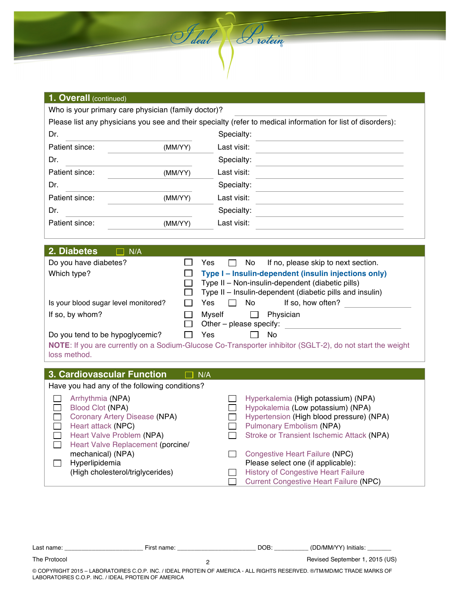

Saleal Lutein

| 2. Diabetes<br>N/A                   |                                                                   |  |  |  |  |  |  |
|--------------------------------------|-------------------------------------------------------------------|--|--|--|--|--|--|
| Do you have diabetes?                | Yes<br>No.<br>If no, please skip to next section.<br>$\mathbf{I}$ |  |  |  |  |  |  |
| Which type?                          | Type I - Insulin-dependent (insulin injections only)              |  |  |  |  |  |  |
|                                      | Type II - Non-insulin-dependent (diabetic pills)                  |  |  |  |  |  |  |
|                                      | Type II – Insulin-dependent (diabetic pills and insulin)          |  |  |  |  |  |  |
| Is your blood sugar level monitored? | No.<br>Yes<br>If so, how often?<br>$\mathsf{L}$                   |  |  |  |  |  |  |
| If so, by whom?                      | Physician<br>Mvself                                               |  |  |  |  |  |  |
|                                      | Other - please specify:                                           |  |  |  |  |  |  |
| Do you tend to be hypoglycemic?      | Yes<br>No                                                         |  |  |  |  |  |  |

**NOTE**: If you are currently on a Sodium-Glucose Co-Transporter inhibitor (SGLT-2), do not start the weight loss method.

# **3. Cardiovascular Function**  $\Box$  N/A

| Have you had any of the following conditions? |                                               |
|-----------------------------------------------|-----------------------------------------------|
| Arrhythmia (NPA)                              | Hyperkalemia (High potassium) (NPA)           |
| <b>Blood Clot (NPA)</b>                       | Hypokalemia (Low potassium) (NPA)             |
| Coronary Artery Disease (NPA)                 | Hypertension (High blood pressure) (NPA)      |
| Heart attack (NPC)                            | <b>Pulmonary Embolism (NPA)</b>               |
| Heart Valve Problem (NPA)                     | Stroke or Transient Ischemic Attack (NPA)     |
| Heart Valve Replacement (porcine/             |                                               |
| mechanical) (NPA)                             | Congestive Heart Failure (NPC)                |
| Hyperlipidemia                                | Please select one (if applicable):            |
| (High cholesterol/triglycerides)              | <b>History of Congestive Heart Failure</b>    |
|                                               | <b>Current Congestive Heart Failure (NPC)</b> |

Last name: \_\_\_\_\_\_\_\_\_\_\_\_\_\_\_\_\_\_\_\_\_\_\_ First name: \_\_\_\_\_\_\_\_\_\_\_\_\_\_\_\_\_\_\_\_\_\_\_ DOB: \_\_\_\_\_\_\_\_\_\_ (DD/MM/YY) Initials: \_\_\_\_\_\_\_  $\mathfrak{p}$ 

The Protocol **The Protocol** Constant Constanting Constanting Constanting Constanting Constanting Constanting Constanting Constanting Constanting Constanting Constanting Constanting Constanting Constanting Constanting Const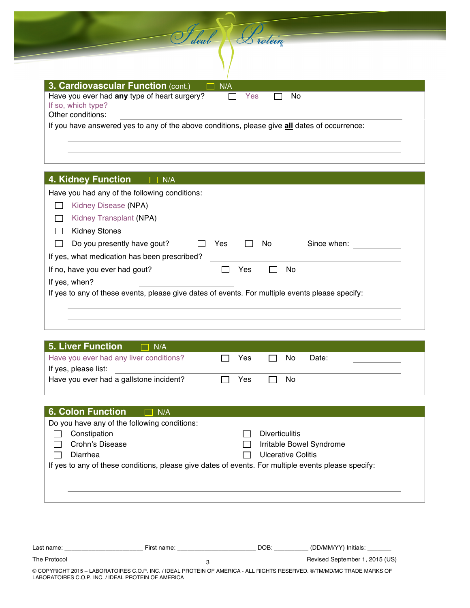| Have you ever had any type of heart surgery?                                                  | Yes | No. |  |
|-----------------------------------------------------------------------------------------------|-----|-----|--|
| If so, which type?                                                                            |     |     |  |
| Other conditions:                                                                             |     |     |  |
| If you have answered yes to any of the above conditions, please give all dates of occurrence: |     |     |  |

S deal Protein

#### **4. Kidney Function**   $\Box$  N/A

| Have you had any of the following conditions:                                                   |     |     |     |             |
|-------------------------------------------------------------------------------------------------|-----|-----|-----|-------------|
| Kidney Disease (NPA)                                                                            |     |     |     |             |
| Kidney Transplant (NPA)                                                                         |     |     |     |             |
| <b>Kidney Stones</b>                                                                            |     |     |     |             |
| Do you presently have gout?                                                                     | Yes |     | No. | Since when: |
| If yes, what medication has been prescribed?                                                    |     |     |     |             |
| If no, have you ever had gout?                                                                  |     | Yes |     | No          |
| If yes, when?                                                                                   |     |     |     |             |
| If yes to any of these events, please give dates of events. For multiple events please specify: |     |     |     |             |
|                                                                                                 |     |     |     |             |
|                                                                                                 |     |     |     |             |

| Yes. | No. | Date: |
|------|-----|-------|
|      |     |       |
| Yes  | No. |       |
|      |     |       |

| <b>6. Colon Function</b>                     | N/A                                                                                                 |                           |
|----------------------------------------------|-----------------------------------------------------------------------------------------------------|---------------------------|
| Do you have any of the following conditions: |                                                                                                     |                           |
| Constipation                                 |                                                                                                     | <b>Diverticulitis</b>     |
| Crohn's Disease                              |                                                                                                     | Irritable Bowel Syndrome  |
| Diarrhea                                     |                                                                                                     | <b>Ulcerative Colitis</b> |
|                                              | If yes to any of these conditions, please give dates of events. For multiple events please specify: |                           |
|                                              |                                                                                                     |                           |
|                                              |                                                                                                     |                           |
|                                              |                                                                                                     |                           |
|                                              |                                                                                                     |                           |
|                                              |                                                                                                     |                           |

| ∟ast name <sup>.</sup> | าame<br>∙ırst<br>____ | <b>DOB</b> | $\cdots$<br>$\sim$ 0.00 $\sim$<br>Initials<br>∵WM <i>u</i> .<br>- Y |
|------------------------|-----------------------|------------|---------------------------------------------------------------------|
|                        |                       |            |                                                                     |

3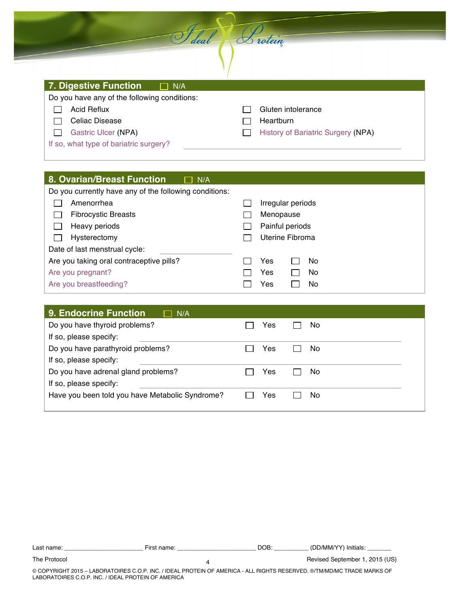| 7. Digestive Function<br>$\Box$ N/A          |                                           |
|----------------------------------------------|-------------------------------------------|
| Do you have any of the following conditions: |                                           |
| <b>Acid Reflux</b>                           | Gluten intolerance                        |
| Celiac Disease                               | Heartburn                                 |
| Gastric Ulcer (NPA)                          | <b>History of Bariatric Surgery (NPA)</b> |
| If so, what type of bariatric surgery?       |                                           |

Saleal Brotein

### 8. Ovarian/Breast Function  $\Box$  N/A

| Do you currently have any of the following conditions: |                   |     |  |  |
|--------------------------------------------------------|-------------------|-----|--|--|
| Amenorrhea                                             | Irregular periods |     |  |  |
| <b>Fibrocystic Breasts</b>                             | Menopause         |     |  |  |
| Heavy periods                                          | Painful periods   |     |  |  |
| Hysterectomy                                           | Uterine Fibroma   |     |  |  |
| Date of last menstrual cycle:                          |                   |     |  |  |
| Are you taking oral contraceptive pills?               | Yes               | No. |  |  |
| Are you pregnant?                                      | Yes               | No. |  |  |
| Are you breastfeeding?                                 | Yes               | No  |  |  |

| 9. Endocrine Function<br>N/A                    |           |
|-------------------------------------------------|-----------|
| Do you have thyroid problems?                   | Yes<br>No |
| If so, please specify:                          |           |
| Do you have parathyroid problems?               | Yes<br>No |
| If so, please specify:                          |           |
| Do you have adrenal gland problems?             | No<br>Yes |
| If so, please specify:                          |           |
| Have you been told you have Metabolic Syndrome? | Yes<br>No |
|                                                 |           |

| : name:<br>∟ast | - 1 K O 1<br>−пъ. | DOB<br>◡◡ | D/MM<br>.<br>/N<br>าitials |
|-----------------|-------------------|-----------|----------------------------|
|                 |                   |           |                            |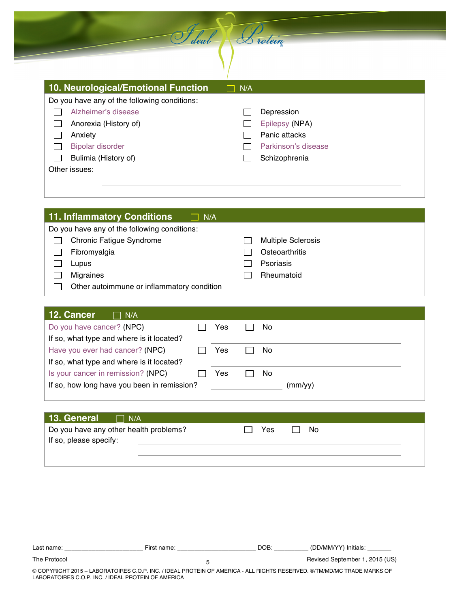| 10. Neurological/Emotional Function          | N/A |                     |
|----------------------------------------------|-----|---------------------|
| Do you have any of the following conditions: |     |                     |
| Alzheimer's disease                          |     | Depression          |
| Anorexia (History of)                        |     | Epilepsy (NPA)      |
| Anxiety                                      |     | Panic attacks       |
| <b>Bipolar disorder</b>                      |     | Parkinson's disease |
| Bulimia (History of)                         |     | Schizophrenia       |
| Other issues:                                |     |                     |
|                                              |     |                     |
|                                              |     |                     |

Sileal Protein

| 11. Inflammatory Conditions<br>$\Box$ N/A    |                           |
|----------------------------------------------|---------------------------|
| Do you have any of the following conditions: |                           |
| <b>Chronic Fatigue Syndrome</b>              | <b>Multiple Sclerosis</b> |
| Fibromyalgia                                 | Osteoarthritis            |
| Lupus                                        | Psoriasis                 |
| <b>Migraines</b>                             | Rheumatoid                |
| Other autoimmune or inflammatory condition   |                           |

| 12. Cancer<br>N/A                           |     |         |
|---------------------------------------------|-----|---------|
| Do you have cancer? (NPC)                   | Yes | No      |
| If so, what type and where is it located?   |     |         |
| Have you ever had cancer? (NPC)             | Yes | No      |
| If so, what type and where is it located?   |     |         |
| Is your cancer in remission? (NPC)          | Yes | No      |
| If so, how long have you been in remission? |     | (mm/vv) |

| 13. General $\Box$ N/A                 |            |
|----------------------------------------|------------|
| Do you have any other health problems? | Yes<br>No. |
| If so, please specify:                 |            |
|                                        |            |
|                                        |            |

| ∟ast∴<br>idi<br>טו | $\overline{a}$<br>-<br>יי<br>___ | эR<br>10 | .<br>Initials:<br>vv<br>'MM,<br>. |
|--------------------|----------------------------------|----------|-----------------------------------|
|--------------------|----------------------------------|----------|-----------------------------------|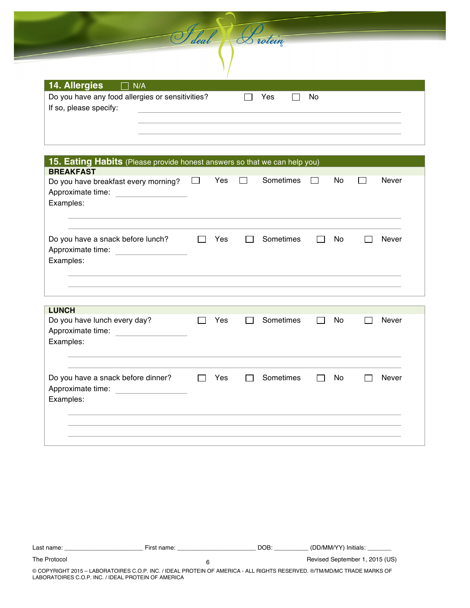| deal                               | rotein |  |
|------------------------------------|--------|--|
|                                    |        |  |
| <b>14. Allergies</b><br>$\Box$ N/A |        |  |
|                                    |        |  |

| 15. Eating Habits (Please provide honest answers so that we can help you)                                   |              |     |           |     |              |
|-------------------------------------------------------------------------------------------------------------|--------------|-----|-----------|-----|--------------|
| <b>BREAKFAST</b><br>Do you have breakfast every morning?<br>Approximate time: <u>contained</u><br>Examples: | $\mathbf{I}$ | Yes | Sometimes | No  | <b>Never</b> |
| Do you have a snack before lunch?<br>Approximate time: <u>___________________</u><br>Examples:              | $\mathbf{1}$ | Yes | Sometimes | No. | <b>Never</b> |
|                                                                                                             |              |     |           |     |              |
| <b>LUNCH</b><br>Do you have lunch every day?<br>Approximate time: <u>contained</u><br>Examples:             |              | Yes | Sometimes | No  | <b>Never</b> |
| Do you have a snack before dinner?<br>Approximate time:<br><u> 1990 - Andrea State</u><br>Examples:         | $\mathbf{L}$ | Yes | Sometimes | No  | <b>Never</b> |
|                                                                                                             |              |     |           |     |              |

| Last name:                                          | First name:                                                                                                             | DOB: | (DD/MM/YY) Initials:           |
|-----------------------------------------------------|-------------------------------------------------------------------------------------------------------------------------|------|--------------------------------|
| The Protocol                                        |                                                                                                                         |      | Revised September 1, 2015 (US) |
| LABORATOIRES C.O.P. INC. / IDEAL PROTEIN OF AMERICA | © COPYRIGHT 2015 – LABORATOIRES C.O.P. INC. / IDEAL PROTEIN OF AMERICA - ALL RIGHTS RESERVED. ©/TM/MD/MC TRADE MARKS OF |      |                                |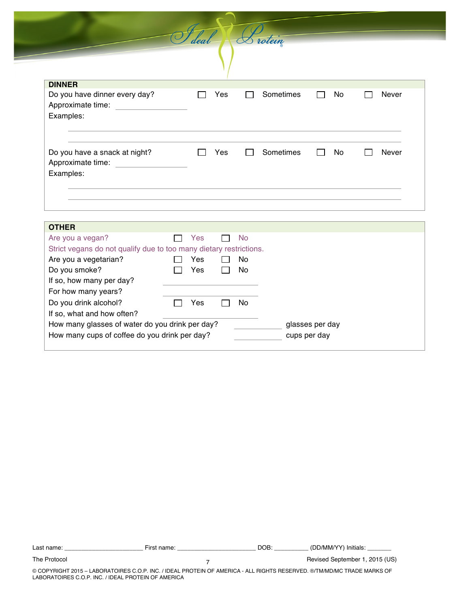**DINNER** Do you have dinner every day?  $\Box$  Yes  $\Box$  Sometimes  $\Box$  No  $\Box$  Never Approximate time: Examples: Do you have a snack at night?  $\Box$  Yes  $\Box$  Sometimes  $\Box$  No  $\Box$  Never Approximate time: Examples:

Sideal Sistein

| <b>OTHER</b>                                                       |     |     |                 |
|--------------------------------------------------------------------|-----|-----|-----------------|
| Are you a vegan?                                                   | Yes | No. |                 |
| Strict vegans do not qualify due to too many dietary restrictions. |     |     |                 |
| Are you a vegetarian?                                              | Yes | No  |                 |
| Do you smoke?                                                      | Yes | No. |                 |
| If so, how many per day?                                           |     |     |                 |
| For how many years?                                                |     |     |                 |
| Do you drink alcohol?                                              | Yes | No  |                 |
| If so, what and how often?                                         |     |     |                 |
| How many glasses of water do you drink per day?                    |     |     | glasses per day |
| How many cups of coffee do you drink per day?                      |     |     | cups per day    |
|                                                                    |     |     |                 |

Last name: \_\_\_\_\_\_\_\_\_\_\_\_\_\_\_\_\_\_\_\_\_\_\_ First name: \_\_\_\_\_\_\_\_\_\_\_\_\_\_\_\_\_\_\_\_\_\_\_ DOB: \_\_\_\_\_\_\_\_\_\_ (DD/MM/YY) Initials: \_\_\_\_\_\_\_ 7

The Protocol **The Protocol** Control Revised September 1, 2015 (US) **Revised September 1, 2015 (US)**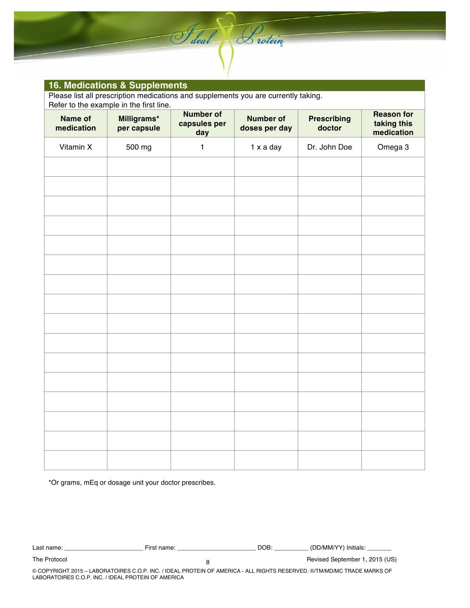#### **16. Medications & Supplements**

Please list all prescription medications and supplements you are currently taking.

Saleal Sistein

|                       | Refer to the example in the first line. |                                         |                                   |                              |                                                |  |  |  |  |
|-----------------------|-----------------------------------------|-----------------------------------------|-----------------------------------|------------------------------|------------------------------------------------|--|--|--|--|
| Name of<br>medication | Milligrams*<br>per capsule              | <b>Number of</b><br>capsules per<br>day | <b>Number of</b><br>doses per day | <b>Prescribing</b><br>doctor | <b>Reason for</b><br>taking this<br>medication |  |  |  |  |
| Vitamin X             | 500 mg                                  | $\mathbf{1}$                            | 1 x a day                         | Dr. John Doe                 | Omega 3                                        |  |  |  |  |
|                       |                                         |                                         |                                   |                              |                                                |  |  |  |  |
|                       |                                         |                                         |                                   |                              |                                                |  |  |  |  |
|                       |                                         |                                         |                                   |                              |                                                |  |  |  |  |
|                       |                                         |                                         |                                   |                              |                                                |  |  |  |  |
|                       |                                         |                                         |                                   |                              |                                                |  |  |  |  |
|                       |                                         |                                         |                                   |                              |                                                |  |  |  |  |
|                       |                                         |                                         |                                   |                              |                                                |  |  |  |  |
|                       |                                         |                                         |                                   |                              |                                                |  |  |  |  |
|                       |                                         |                                         |                                   |                              |                                                |  |  |  |  |
|                       |                                         |                                         |                                   |                              |                                                |  |  |  |  |
|                       |                                         |                                         |                                   |                              |                                                |  |  |  |  |
|                       |                                         |                                         |                                   |                              |                                                |  |  |  |  |
|                       |                                         |                                         |                                   |                              |                                                |  |  |  |  |
|                       |                                         |                                         |                                   |                              |                                                |  |  |  |  |
|                       |                                         |                                         |                                   |                              |                                                |  |  |  |  |
|                       |                                         |                                         |                                   |                              |                                                |  |  |  |  |
|                       |                                         |                                         |                                   |                              |                                                |  |  |  |  |
|                       |                                         |                                         |                                   |                              |                                                |  |  |  |  |

\*Or grams, mEq or dosage unit your doctor prescribes.

| name<br>∟ast∸ | nnm c | - - -<br>,,, | ורד | им/<br>Initials |  |
|---------------|-------|--------------|-----|-----------------|--|
|               |       |              |     |                 |  |
|               |       |              |     |                 |  |

8